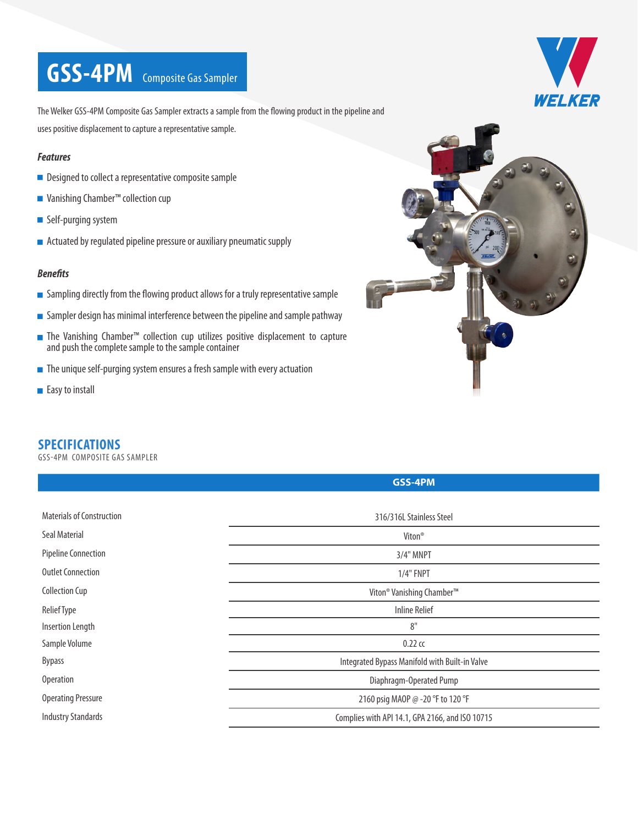# **GSS-4PM** Composite Gas Sampler



The Welker GSS-4PM Composite Gas Sampler extracts a sample from the flowing product in the pipeline and uses positive displacement to capture a representative sample.

#### *Features*

- Designed to collect a representative composite sample
- Vanishing Chamber<sup>™</sup> collection cup
- Self-purging system
- $\blacksquare$  Actuated by regulated pipeline pressure or auxiliary pneumatic supply

#### *Benefits*

- $\blacksquare$  Sampling directly from the flowing product allows for a truly representative sample
- $\blacksquare$  Sampler design has minimal interference between the pipeline and sample pathway
- The Vanishing Chamber™ collection cup utilizes positive displacement to capture and push the complete sample to the sample container
- The unique self-purging system ensures a fresh sample with every actuation
- Easy to install



### **SPECIFICATIONS**

GSS-4PM COMPOSITE GAS SAMPLER

|                           | GSS-4PM                                           |  |
|---------------------------|---------------------------------------------------|--|
|                           |                                                   |  |
| Materials of Construction | 316/316L Stainless Steel                          |  |
| Seal Material             | Viton <sup>®</sup>                                |  |
| Pipeline Connection       | 3/4" MNPT                                         |  |
| Outlet Connection         | $1/4"$ FNPT                                       |  |
| <b>Collection Cup</b>     | Viton <sup>®</sup> Vanishing Chamber <sup>™</sup> |  |
| <b>Relief Type</b>        | Inline Relief                                     |  |
| <b>Insertion Length</b>   | 8"                                                |  |
| Sample Volume             | $0.22$ cc                                         |  |
| <b>Bypass</b>             | Integrated Bypass Manifold with Built-in Valve    |  |
| Operation                 | Diaphragm-Operated Pump                           |  |
| <b>Operating Pressure</b> | 2160 psig MAOP @ -20 °F to 120 °F                 |  |
| <b>Industry Standards</b> | Complies with API 14.1, GPA 2166, and ISO 10715   |  |